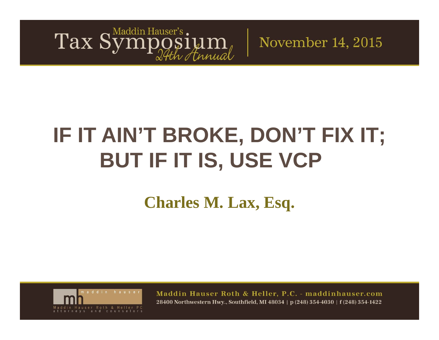

November 14, 2015

# **IF IT AIN'T BROKE, DON'T FIX IT; BUT IF IT IS, USE VCP**

#### **Charles M. Lax, Esq.**

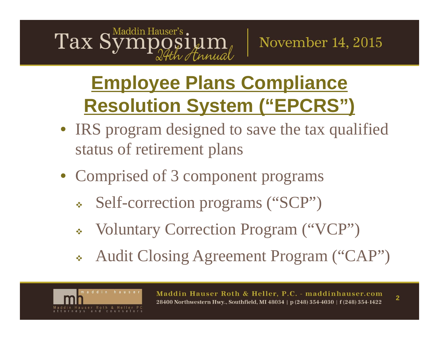#### $\text{Tax } S^1$  $\log$ s $1$ U $\rm{m_{\ell}}$

November 14, 2015

### **Employee Plans Compliance Resolution System ("EPCRS")**

- IRS program designed to save the tax qualified status of retirement plans
- Comprised of 3 component programs
	- Self-correction programs ("SCP")
	- Voluntary Correction Program ("VCP")
	- Audit Closing Agreement Program ("CAP")



**2**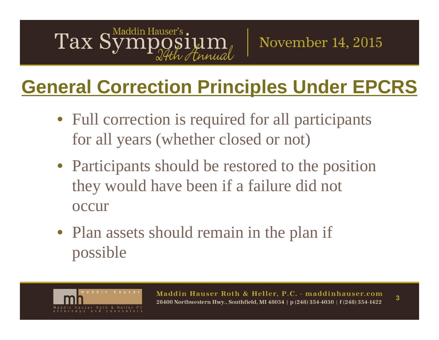# Tax Symposium

#### November 14, 2015

### **General Correction Principles Under EPCRS**

- Full correction is required for all participants for all years (whether closed or not)
- Participants should be restored to the position they would have been if a failure did not occur
- Plan assets should remain in the plan if possible

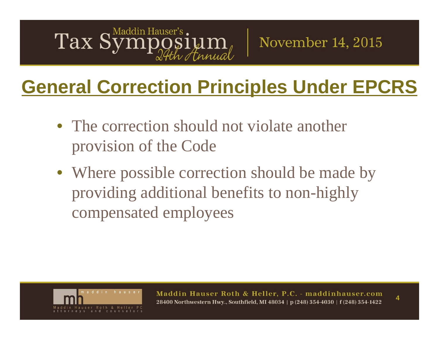#### Tax Symposi  $\log$ siyi $\mathrm{m}_{\ell}$

### **General Correction Principles Under EPCRS**

- The correction should not violate another provision of the Code
- Where possible correction should be made by providing additional benefits to non-highly compensated employees



Maddin Hauser Roth & Heller, P.C. - maddinhauser.com 28400 Northwestern Hwy., Southfield, MI 48034 | p (248) 354-4030 | f (248) 354-1422

November 14, 2015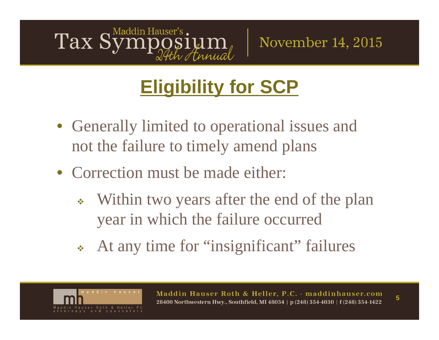#### Tax S Annual

November 14, 2015

# **Eligibility for SCP**

- Generally limited to operational issues and not the failure to timely amend plans
- Correction must be made either:
	- Within two years after the end of the plan year in which the failure occurred
	- At any time for "insignificant" failures

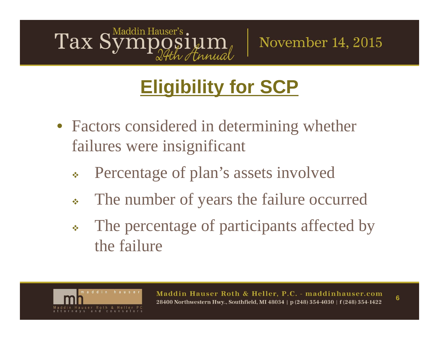#### Tax S Finnyal

November 14, 2015

# **Eligibility for SCP**

- Factors considered in determining whether failures were insignificant
	- $\frac{1}{2}$ Percentage of plan's assets involved
	- $\frac{\partial}{\partial x^i}$ The number of years the failure occurred
	- $\frac{\partial}{\partial x^i}$  The percentage of participants affected by the failure

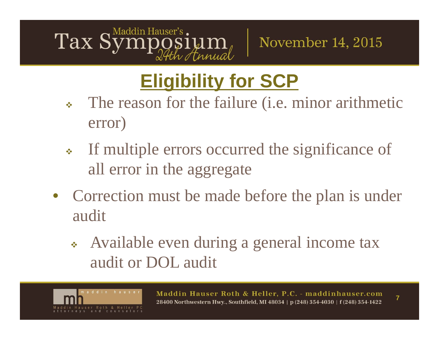#### Tax  $S_1^r$ ium

November 14, 2015

### **Eligibility for SCP**

- Ŵ The reason for the failure (i.e. minor arithmetic error)
- $\frac{1}{2}$  If multiple errors occurred the significance of all error in the aggregate
- Correction must be made before the plan is under audit
	- Available even during a general income tax audit or DOL audit



**7**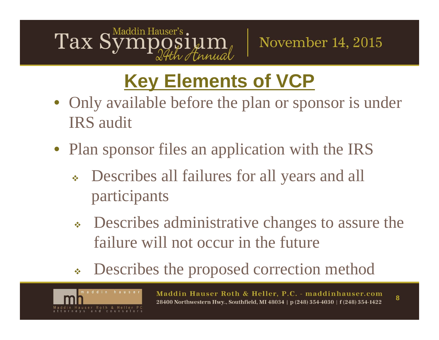# Maddin Hauser's.<br>SYMPOSIUM  $\text{Tax } \text{S}^{\text{r}}$

November 14, 2015

### **Key Elements of VCP**

- Only available before the plan or sponsor is under IRS audit
- Plan sponsor files an application with the IRS
	- Describes all failures for all years and all participants
	- Describes administrative changes to assure the failure will not occur in the future
	- $\frac{1}{2}$ Describes the proposed correction method

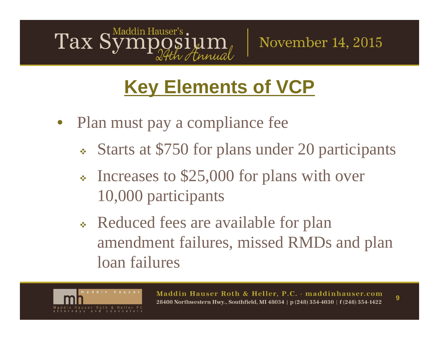#### Tax S SIUM

November 14, 2015

### **Key Elements of VCP**

- $\bullet$  Plan must pay a compliance fee
	- Starts at \$750 for plans under 20 participants
	- Increases to \$25,000 for plans with over 10,000 participants
	- Reduced fees are available for plan amendment failures, missed RMDs and plan loan failures

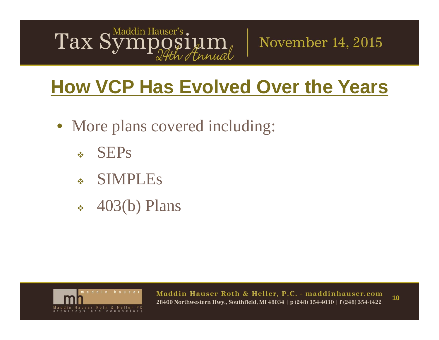

November 14, 2015

### **How VCP Has Evolved Over the Years**

- More plans covered including:
	- $\frac{1}{2}$ **SEPs**
	- 豪 SIMPLEs
	- 豪 403(b) Plans

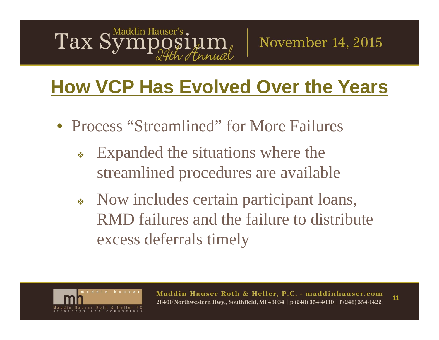#### $\text{Tax } \text{S}^1$ IJIM<br>*Funual*

November 14, 2015

### **How VCP Has Evolved Over the Years**

- Process "Streamlined" for More Failures
	- Expanded the situations where the streamlined procedures are available
	- Now includes certain participant loans, RMD failures and the failure to distribute excess deferrals timely

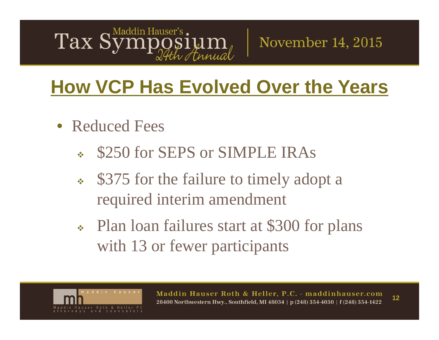#### Tax Syn  $\lim_{t\to t}$

November 14, 2015

### **How VCP Has Evolved Over the Years**

- Reduced Fees
	- Ŵ \$250 for SEPS or SIMPLE IRAs
	- $\frac{1}{2}$ \$375 for the failure to timely adopt a required interim amendment
	- Plan loan failures start at \$300 for plans with 13 or fewer participants

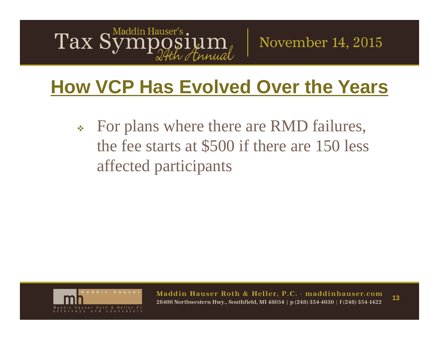#### Tax  $S_{y}^{M}$  $\log$ s $\lim_{\mathcal{A}\text{-}\ell\mathcal{A}}$

November 14, 2015

### **How VCP Has Evolved Over the Years**

 $\frac{1}{2}$  For plans where there are RMD failures, the fee starts at \$500 if there are 150 less affected participants

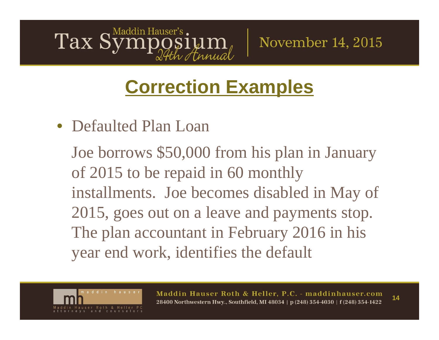#### Tax S Annual

November 14, 2015

### **Correction Examples**

• Defaulted Plan Loan

Joe borrows \$50,000 from his plan in January of 2015 to be repaid in 60 monthly installments. Joe becomes disabled in May of 2015, goes out on a leave and payments stop. The plan accountant in February 2016 in his year end work, identifies the default

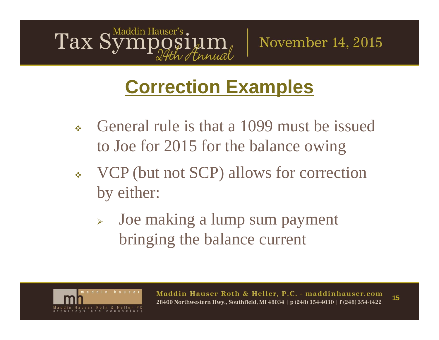#### Tax S Finnich

November 14, 2015

### **Correction Examples**

- $\frac{1}{2}$  General rule is that a 1099 must be issued to Joe for 2015 for the balance owing
- $\frac{1}{2}$  VCP (but not SCP) allows for correction by either:
	- $\blacktriangleright$  Joe making a lump sum payment bringing the balance current

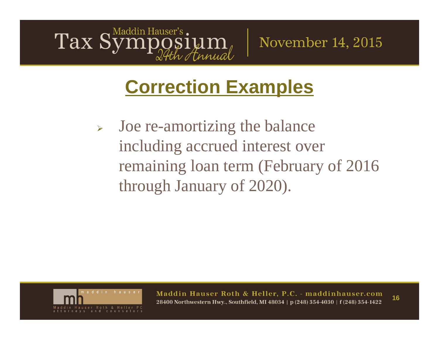#### $\text{Tax } S^1$ 24th Annual

November 14, 2015

### **Correction Examples**

 $\blacktriangleright$  Joe re-amortizing the balance including accrued interest over remaining loan term (February of 2016 through January of 2020).

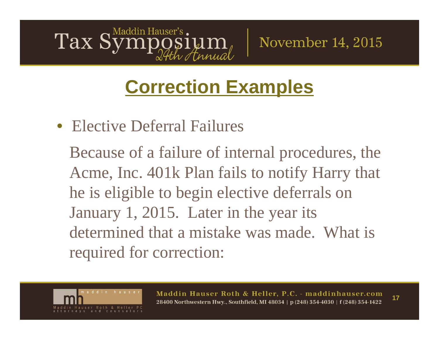#### Tax S Finnich

November 14, 2015

### **Correction Examples**

• Elective Deferral Failures

Because of a failure of internal procedures, the Acme, Inc. 401k Plan fails to notify Harry that he is eligible to begin elective deferrals on January 1, 2015. Later in the year its determined that a mistake was made. What is required for correction:

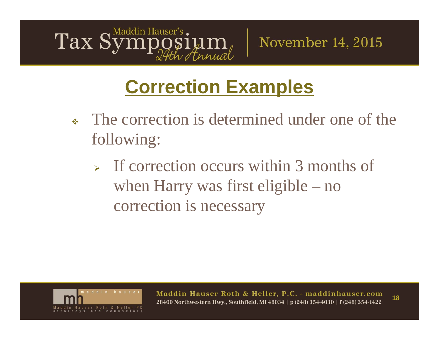#### Tax  $S_{y}^{m}$  $\log$ iy $\mathrm{Im}_\ell$

November 14, 2015

### **Correction Examples**

- 参 The correction is determined under one of the following:
	- $\blacktriangleright$  If correction occurs within 3 months of when Harry was first eligible – no correction is necessary

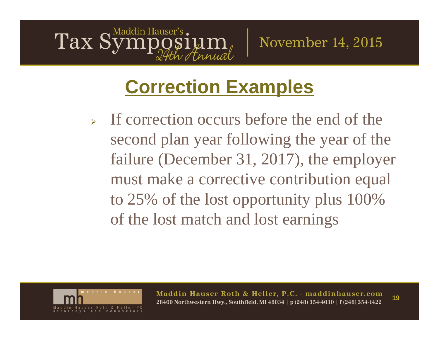#### **Tax S** Finnual

November 14, 2015

### **Correction Examples**

 $\blacktriangle$  If correction occurs before the end of the second plan year following the year of the failure (December 31, 2017), the employer must make a corrective contribution equal to 25% of the lost opportunity plus 100% of the lost match and lost earnings

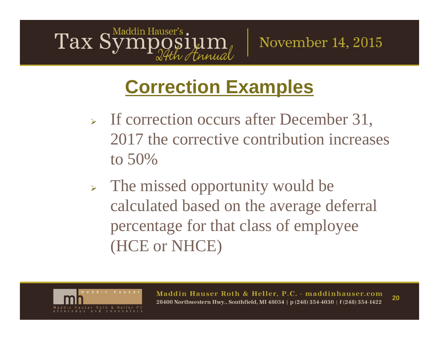#### Tax S Finnich

November 14, 2015

### **Correction Examples**

- If correction occurs after December 31, 2017 the corrective contribution increases to 50%
- > The missed opportunity would be calculated based on the average deferral percentage for that class of employee (HCE or NHCE)

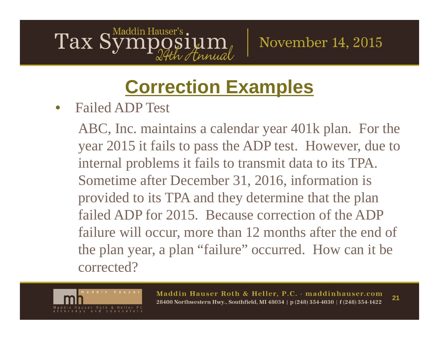#### Tax S Finnual

November 14, 2015

### **Correction Examples**

 $\bullet$ Failed ADP Test

> ABC, Inc. maintains a calendar year 401k plan. For the year 2015 it fails to pass the ADP test. However, due to internal problems it fails to transmit data to its TPA. Sometime after December 31, 2016, information is provided to its TPA and they determine that the plan failed ADP for 2015. Because correction of the ADP failure will occur, more than 12 months after the end of the plan year, a plan "failure" occurred. How can it be corrected?

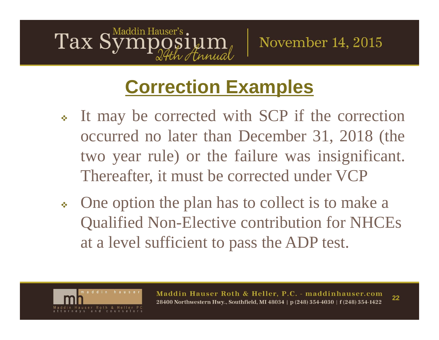#### Tax S Annual

November 14, 2015

### **Correction Examples**

- $\frac{1}{2}$ It may be corrected with SCP if the correction occurred no later than December 31, 2018 (the two year rule) or the failure was insignificant. Thereafter, it must be corrected under VCP
- $\frac{1}{2}$  One option the plan has to collect is to make a Qualified Non-Elective contribution for NHCEs at a level sufficient to pass the ADP test.